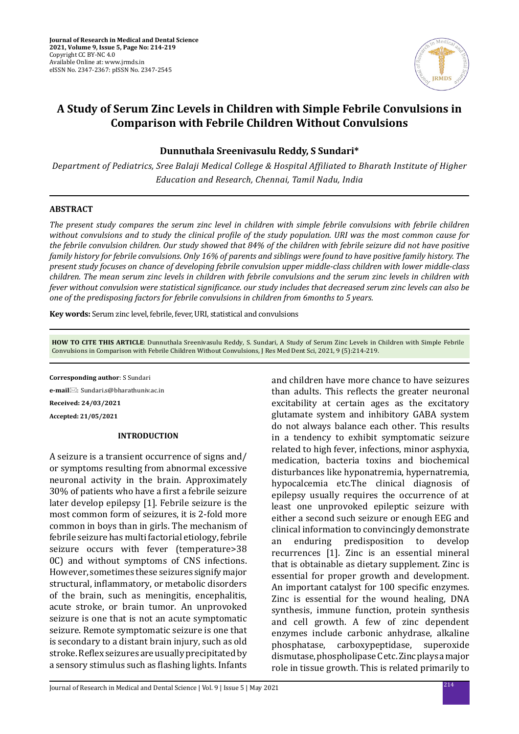

# **A Study of Serum Zinc Levels in Children with Simple Febrile Convulsions in Comparison with Febrile Children Without Convulsions**

**Dunnuthala Sreenivasulu Reddy, S Sundari\***

*Department of Pediatrics, Sree Balaji Medical College & Hospital Affiliated to Bharath Institute of Higher Education and Research, Chennai, Tamil Nadu, India*

## **ABSTRACT**

*The present study compares the serum zinc level in children with simple febrile convulsions with febrile children without convulsions and to study the clinical profile of the study population. URI was the most common cause for the febrile convulsion children. Our study showed that 84% of the children with febrile seizure did not have positive family history for febrile convulsions. Only 16% of parents and siblings were found to have positive family history. The present study focuses on chance of developing febrile convulsion upper middle-class children with lower middle-class children. The mean serum zinc levels in children with febrile convulsions and the serum zinc levels in children with fever without convulsion were statistical significance. our study includes that decreased serum zinc levels can also be one of the predisposing factors for febrile convulsions in children from 6months to 5 years.*

**Key words:** Serum zinc level, febrile, fever, URI, statistical and convulsions

**HOW TO CITE THIS ARTICLE**: Dunnuthala Sreenivasulu Reddy, S. Sundari, A Study of Serum Zinc Levels in Children with Simple Febrile Convulsions in Comparison with Febrile Children Without Convulsions, J Res Med Dent Sci, 2021, 9 (5):214-219.

**Corresponding author**: S Sundari **e-mail**: Sundari.s@bharathuniv.ac.in **Received: 24/03/2021 Accepted: 21/05/2021**

## **INTRODUCTION**

A seizure is a transient occurrence of signs and/ or symptoms resulting from abnormal excessive neuronal activity in the brain. Approximately 30% of patients who have a first a febrile seizure later develop epilepsy [1]. Febrile seizure is the most common form of seizures, it is 2-fold more common in boys than in girls. The mechanism of febrile seizure has multi factorial etiology, febrile seizure occurs with fever (temperature>38 0C) and without symptoms of CNS infections. However, sometimes these seizures signify major structural, inflammatory, or metabolic disorders of the brain, such as meningitis, encephalitis, acute stroke, or brain tumor. An unprovoked seizure is one that is not an acute symptomatic seizure. Remote symptomatic seizure is one that is secondary to a distant brain injury, such as old stroke. Reflex seizures are usually precipitated by a sensory stimulus such as flashing lights. Infants and children have more chance to have seizures than adults. This reflects the greater neuronal excitability at certain ages as the excitatory glutamate system and inhibitory GABA system do not always balance each other. This results in a tendency to exhibit symptomatic seizure related to high fever, infections, minor asphyxia, medication, bacteria toxins and biochemical disturbances like hyponatremia, hypernatremia, hypocalcemia etc.The clinical diagnosis of epilepsy usually requires the occurrence of at least one unprovoked epileptic seizure with either a second such seizure or enough EEG and clinical information to convincingly demonstrate enduring predisposition to develop recurrences [1]. Zinc is an essential mineral that is obtainable as dietary supplement. Zinc is essential for proper growth and development. An important catalyst for 100 specific enzymes. Zinc is essential for the wound healing, DNA synthesis, immune function, protein synthesis and cell growth. A few of zinc dependent enzymes include carbonic anhydrase, alkaline carboxypeptidase, superoxide dismutase, phospholipase C etc. Zinc plays a major role in tissue growth. This is related primarily to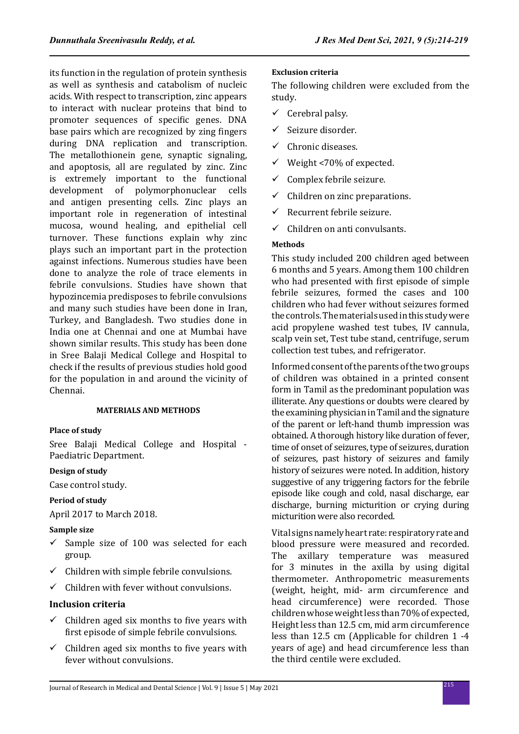its function in the regulation of protein synthesis as well as synthesis and catabolism of nucleic acids. With respect to transcription, zinc appears to interact with nuclear proteins that bind to promoter sequences of specific genes. DNA base pairs which are recognized by zing fingers during DNA replication and transcription. The metallothionein gene, synaptic signaling, and apoptosis, all are regulated by zinc. Zinc is extremely important to the functional development of polymorphonuclear cells and antigen presenting cells. Zinc plays an important role in regeneration of intestinal mucosa, wound healing, and epithelial cell turnover. These functions explain why zinc plays such an important part in the protection against infections. Numerous studies have been done to analyze the role of trace elements in febrile convulsions. Studies have shown that hypozincemia predisposes to febrile convulsions and many such studies have been done in Iran, Turkey, and Bangladesh. Two studies done in India one at Chennai and one at Mumbai have shown similar results. This study has been done in Sree Balaji Medical College and Hospital to check if the results of previous studies hold good for the population in and around the vicinity of Chennai.

## **MATERIALS AND METHODS**

## **Place of study**

Sree Balaji Medical College and Hospital - Paediatric Department.

# **Design of study**

Case control study.

# **Period of study**

April 2017 to March 2018.

# **Sample size**

- $\checkmark$  Sample size of 100 was selected for each group.
- $\checkmark$  Children with simple febrile convulsions.
- $\checkmark$  Children with fever without convulsions.

# **Inclusion criteria**

- $\checkmark$  Children aged six months to five years with first episode of simple febrile convulsions.
- $\checkmark$  Children aged six months to five years with fever without convulsions.

# **Exclusion criteria**

The following children were excluded from the study.

- $\checkmark$  Cerebral palsy.
- $\checkmark$  Seizure disorder.
- $\checkmark$  Chronic diseases.
- $\checkmark$  Weight <70% of expected.
- $\checkmark$  Complex febrile seizure.
- $\checkmark$  Children on zinc preparations.
- $\checkmark$  Recurrent febrile seizure.
- $\checkmark$  Children on anti convulsants.

# **Methods**

This study included 200 children aged between 6 months and 5 years. Among them 100 children who had presented with first episode of simple febrile seizures, formed the cases and 100 children who had fever without seizures formed the controls. The materials used in this study were acid propylene washed test tubes, IV cannula, scalp vein set, Test tube stand, centrifuge, serum collection test tubes, and refrigerator.

Informed consent of the parents of the two groups of children was obtained in a printed consent form in Tamil as the predominant population was illiterate. Any questions or doubts were cleared by the examining physician in Tamil and the signature of the parent or left-hand thumb impression was obtained. A thorough history like duration of fever, time of onset of seizures, type of seizures, duration of seizures, past history of seizures and family history of seizures were noted. In addition, history suggestive of any triggering factors for the febrile episode like cough and cold, nasal discharge, ear discharge, burning micturition or crying during micturition were also recorded.

Vital signs namely heart rate: respiratory rate and blood pressure were measured and recorded. The axillary temperature was measured for 3 minutes in the axilla by using digital thermometer. Anthropometric measurements (weight, height, mid- arm circumference and head circumference) were recorded. Those children whose weight less than 70% of expected, Height less than 12.5 cm, mid arm circumference less than 12.5 cm (Applicable for children 1 -4 years of age) and head circumference less than the third centile were excluded.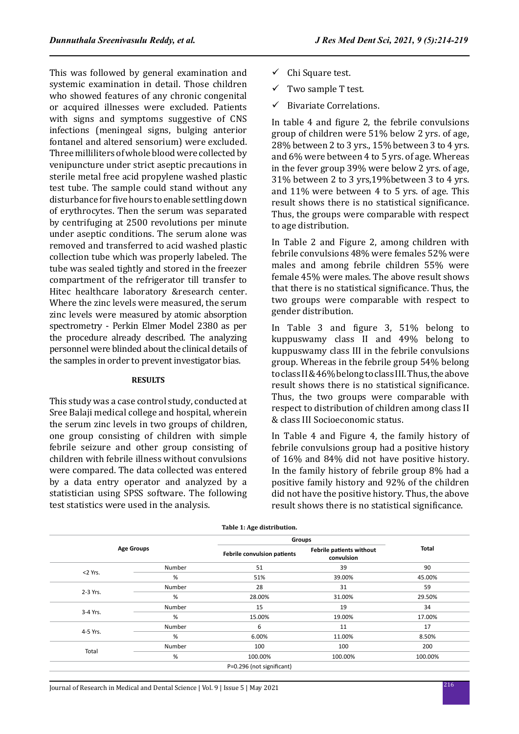This was followed by general examination and systemic examination in detail. Those children who showed features of any chronic congenital or acquired illnesses were excluded. Patients with signs and symptoms suggestive of CNS infections (meningeal signs, bulging anterior fontanel and altered sensorium) were excluded. Three milliliters of whole blood were collected by venipuncture under strict aseptic precautions in sterile metal free acid propylene washed plastic test tube. The sample could stand without any disturbance for five hours to enable settling down of erythrocytes. Then the serum was separated by centrifuging at 2500 revolutions per minute under aseptic conditions. The serum alone was removed and transferred to acid washed plastic collection tube which was properly labeled. The tube was sealed tightly and stored in the freezer compartment of the refrigerator till transfer to Hitec healthcare laboratory &research center. Where the zinc levels were measured, the serum zinc levels were measured by atomic absorption spectrometry - Perkin Elmer Model 2380 as per the procedure already described. The analyzing personnel were blinded about the clinical details of the samples in order to prevent investigator bias.

### **RESULTS**

This study was a case control study, conducted at Sree Balaji medical college and hospital, wherein the serum zinc levels in two groups of children, one group consisting of children with simple febrile seizure and other group consisting of children with febrile illness without convulsions were compared. The data collected was entered by a data entry operator and analyzed by a statistician using SPSS software. The following test statistics were used in the analysis.

- $\checkmark$  Chi Square test.
- $\checkmark$  Two sample T test.
- $\checkmark$  Bivariate Correlations.

In table 4 and figure 2, the febrile convulsions group of children were 51% below 2 yrs. of age, 28% between 2 to 3 yrs., 15% between 3 to 4 yrs. and 6% were between 4 to 5 yrs. of age. Whereas in the fever group 39% were below 2 yrs. of age, 31% between 2 to 3 yrs,19%between 3 to 4 yrs. and 11% were between 4 to 5 yrs. of age. This result shows there is no statistical significance. Thus, the groups were comparable with respect to age distribution.

In Table 2 and Figure 2, among children with febrile convulsions 48% were females 52% were males and among febrile children 55% were female 45% were males. The above result shows that there is no statistical significance. Thus, the two groups were comparable with respect to gender distribution.

In Table 3 and figure 3, 51% belong to kuppuswamy class II and 49% belong to kuppuswamy class III in the febrile convulsions group. Whereas in the febrile group 54% belong to class II & 46% belong to class III. Thus, the above result shows there is no statistical significance. Thus, the two groups were comparable with respect to distribution of children among class II & class III Socioeconomic status.

In Table 4 and Figure 4, the family history of febrile convulsions group had a positive history of 16% and 84% did not have positive history. In the family history of febrile group 8% had a positive family history and 92% of the children did not have the positive history. Thus, the above result shows there is no statistical significance.

|                   |        | Groups                             | Total   |                                        |
|-------------------|--------|------------------------------------|---------|----------------------------------------|
| <b>Age Groups</b> |        | <b>Febrile convulsion patients</b> |         | Febrile patients without<br>convulsion |
| <2 Yrs.           | Number | 51                                 | 39      | 90                                     |
|                   | %      | 51%                                | 39.00%  | 45.00%                                 |
|                   | Number | 28                                 | 31      | 59                                     |
| 2-3 Yrs.          | %      | 28.00%                             | 31.00%  | 29.50%                                 |
|                   | Number | 15                                 | 19      | 34                                     |
| 3-4 Yrs.          | %      | 15.00%                             | 19.00%  | 17.00%                                 |
| 4-5 Yrs.          | Number | 6                                  | 11      | 17                                     |
|                   | %      | 6.00%                              | 11.00%  | 8.50%                                  |
|                   | Number | 100                                | 100     | 200                                    |
| Total             | %      | 100.00%                            | 100.00% | 100.00%                                |

### **Table 1: Age distribution.**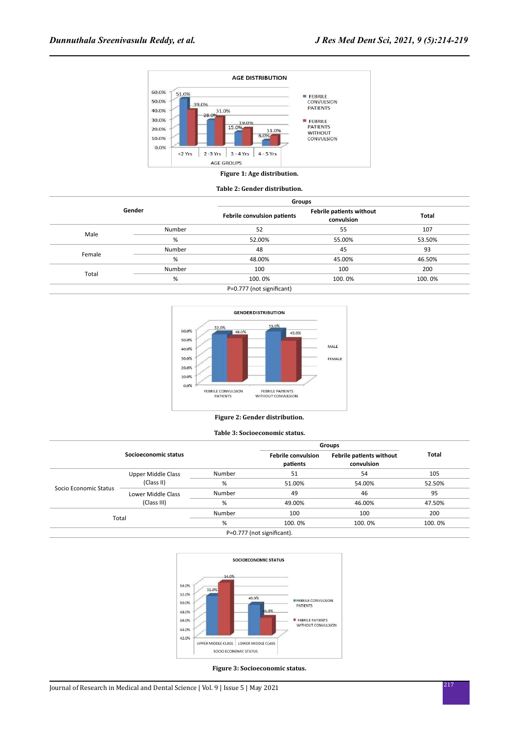

#### **Figure 1: Age distribution.**

#### **Table 2: Gender distribution.**

|                           |        | Groups |                                        |        |  |
|---------------------------|--------|--------|----------------------------------------|--------|--|
|                           | Gender |        | Febrile patients without<br>convulsion | Total  |  |
|                           | Number | 52     | 55                                     | 107    |  |
| Male                      | %      | 52.00% | 55.00%                                 | 53.50% |  |
| Female                    | Number | 48     | 45                                     | 93     |  |
|                           | %      | 48.00% | 45.00%                                 | 46.50% |  |
| Total                     | Number | 100    | 100                                    | 200    |  |
|                           | %      | 100.0% | 100.0%                                 | 100.0% |  |
| P=0.777 (not significant) |        |        |                                        |        |  |



#### **Figure 2: Gender distribution.**

#### **Table 3: Socioeconomic status.**

|                       |                                   |                                       | Groups                                        |        |        |
|-----------------------|-----------------------------------|---------------------------------------|-----------------------------------------------|--------|--------|
| Socioeconomic status  |                                   | <b>Febrile convulsion</b><br>patients | <b>Febrile patients without</b><br>convulsion | Total  |        |
| Socio Economic Status | Upper Middle Class<br>(Class II)  | Number                                | 51                                            | 54     | 105    |
|                       |                                   | %                                     | 51.00%                                        | 54.00% | 52.50% |
|                       | Lower Middle Class<br>(Class III) | Number                                | 49                                            | 46     | 95     |
|                       |                                   | %                                     | 49.00%                                        | 46.00% | 47.50% |
| Number<br>Total<br>%  |                                   |                                       | 100                                           | 100    | 200    |
|                       |                                   |                                       | 100.0%                                        | 100.0% | 100.0% |
|                       |                                   |                                       | P=0.777 (not significant).                    |        |        |



**Figure 3: Socioeconomic status.**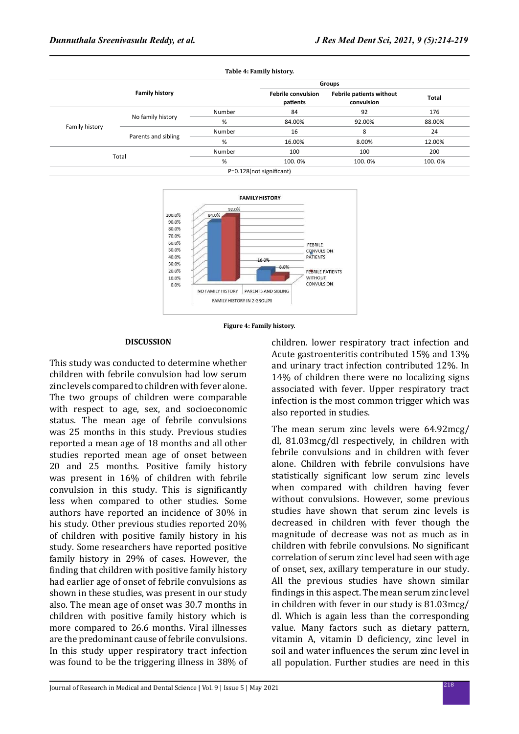| Table 4: Family history. |                       |        |                                       |                                               |              |  |
|--------------------------|-----------------------|--------|---------------------------------------|-----------------------------------------------|--------------|--|
|                          |                       |        | Groups                                |                                               |              |  |
|                          | <b>Family history</b> |        | <b>Febrile convulsion</b><br>patients | <b>Febrile patients without</b><br>convulsion | <b>Total</b> |  |
|                          | No family history     | Number | 84                                    | 92                                            | 176          |  |
|                          |                       | %      | 84.00%                                | 92.00%                                        | 88.00%       |  |
| Family history           |                       | Number | 16                                    | 8                                             | 24           |  |
|                          | Parents and sibling   | %      | 16.00%                                | 8.00%                                         | 12.00%       |  |
| Total                    |                       | Number | 100                                   | 100                                           | 200          |  |
|                          |                       | %      | 100.0%                                | 100.0%                                        | 100.0%       |  |
| P=0.128(not significant) |                       |        |                                       |                                               |              |  |



**Figure 4: Family history.**

### **DISCUSSION**

This study was conducted to determine whether children with febrile convulsion had low serum zinc levels compared to children with fever alone. The two groups of children were comparable with respect to age, sex, and socioeconomic status. The mean age of febrile convulsions was 25 months in this study. Previous studies reported a mean age of 18 months and all other studies reported mean age of onset between 20 and 25 months. Positive family history was present in 16% of children with febrile convulsion in this study. This is significantly less when compared to other studies. Some authors have reported an incidence of 30% in his study. Other previous studies reported 20% of children with positive family history in his study. Some researchers have reported positive family history in 29% of cases. However, the finding that children with positive family history had earlier age of onset of febrile convulsions as shown in these studies, was present in our study also. The mean age of onset was 30.7 months in children with positive family history which is more compared to 26.6 months. Viral illnesses are the predominant cause of febrile convulsions. In this study upper respiratory tract infection was found to be the triggering illness in 38% of children. lower respiratory tract infection and Acute gastroenteritis contributed 15% and 13% and urinary tract infection contributed 12%. In 14% of children there were no localizing signs associated with fever. Upper respiratory tract infection is the most common trigger which was also reported in studies.

The mean serum zinc levels were 64.92mcg/ dl, 81.03mcg/dl respectively, in children with febrile convulsions and in children with fever alone. Children with febrile convulsions have statistically significant low serum zinc levels when compared with children having fever without convulsions. However, some previous studies have shown that serum zinc levels is decreased in children with fever though the magnitude of decrease was not as much as in children with febrile convulsions. No significant correlation of serum zinc level had seen with age of onset, sex, axillary temperature in our study. All the previous studies have shown similar findings in this aspect. The mean serum zinc level in children with fever in our study is 81.03mcg/ dl. Which is again less than the corresponding value. Many factors such as dietary pattern, vitamin A, vitamin D deficiency, zinc level in soil and water influences the serum zinc level in all population. Further studies are need in this